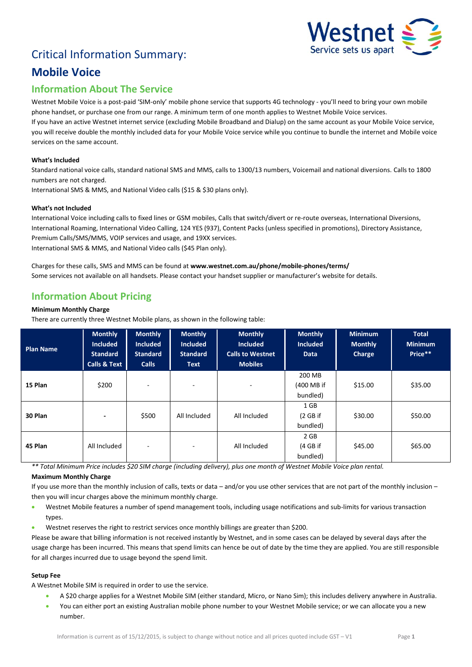# Critical Information Summary:



## **Mobile Voice**

## **Information About The Service**

Westnet Mobile Voice is a post-paid 'SIM-only' mobile phone service that supports 4G technology - you'll need to bring your own mobile phone handset, or purchase one from our range. A minimum term of one month applies to Westnet Mobile Voice services. If you have an active Westnet internet service (excluding Mobile Broadband and Dialup) on the same account as your Mobile Voice service, you will receive double the monthly included data for your Mobile Voice service while you continue to bundle the internet and Mobile voice

### **What's Included**

services on the same account.

Standard national voice calls, standard national SMS and MMS, calls to 1300/13 numbers, Voicemail and national diversions. Calls to 1800 numbers are not charged.

International SMS & MMS, and National Video calls (\$15 & \$30 plans only).

#### **What's not Included**

International Voice including calls to fixed lines or GSM mobiles, Calls that switch/divert or re-route overseas, International Diversions, International Roaming, International Video Calling, 124 YES (937), Content Packs (unless specified in promotions), Directory Assistance, Premium Calls/SMS/MMS, VOIP services and usage, and 19XX services. International SMS & MMS, and National Video calls (\$45 Plan only).

Charges for these calls, SMS and MMS can be found at **www.westnet.com.au/phone/mobile-phones/terms/** Some services not available on all handsets. Please contact your handset supplier or manufacturer's website for details.

### **Information About Pricing**

#### **Minimum Monthly Charge**

There are currently three Westnet Mobile plans, as shown in the following table:

| <b>Plan Name</b> | <b>Monthly</b><br><b>Included</b><br><b>Standard</b><br><b>Calls &amp; Text</b> | <b>Monthly</b><br><b>Included</b><br><b>Standard</b><br><b>Calls</b> | <b>Monthly</b><br><b>Included</b><br><b>Standard</b><br><b>Text</b> | <b>Monthly</b><br><b>Included</b><br><b>Calls to Westnet</b><br><b>Mobiles</b> | <b>Monthly</b><br><b>Included</b><br><b>Data</b> | <b>Minimum</b><br><b>Monthly</b><br>Charge | <b>Total</b><br><b>Minimum</b><br>Price** |
|------------------|---------------------------------------------------------------------------------|----------------------------------------------------------------------|---------------------------------------------------------------------|--------------------------------------------------------------------------------|--------------------------------------------------|--------------------------------------------|-------------------------------------------|
| 15 Plan          | \$200                                                                           | ٠                                                                    | ۰                                                                   | ٠                                                                              | 200 MB<br>(400 MB if<br>bundled)                 | \$15.00                                    | \$35.00                                   |
| 30 Plan          | $\overline{\phantom{a}}$                                                        | \$500                                                                | All Included                                                        | All Included                                                                   | 1 GB<br>(2 GB if<br>bundled)                     | \$30.00                                    | \$50.00                                   |
| 45 Plan          | All Included                                                                    | ٠                                                                    | ۰                                                                   | All Included                                                                   | 2 GB<br>(4 GB if<br>bundled)                     | \$45.00                                    | \$65.00                                   |

*\*\* Total Minimum Price includes \$20 SIM charge (including delivery), plus one month of Westnet Mobile Voice plan rental.*

#### **Maximum Monthly Charge**

If you use more than the monthly inclusion of calls, texts or data – and/or you use other services that are not part of the monthly inclusion – then you will incur charges above the minimum monthly charge.

- Westnet Mobile features a number of spend management tools, including usage notifications and sub-limits for various transaction types.
- Westnet reserves the right to restrict services once monthly billings are greater than \$200.

Please be aware that billing information is not received instantly by Westnet, and in some cases can be delayed by several days after the usage charge has been incurred. This means that spend limits can hence be out of date by the time they are applied. You are still responsible for all charges incurred due to usage beyond the spend limit.

#### **Setup Fee**

A Westnet Mobile SIM is required in order to use the service.

- A \$20 charge applies for a Westnet Mobile SIM (either standard, Micro, or Nano Sim); this includes delivery anywhere in Australia.
- You can either port an existing Australian mobile phone number to your Westnet Mobile service; or we can allocate you a new number.